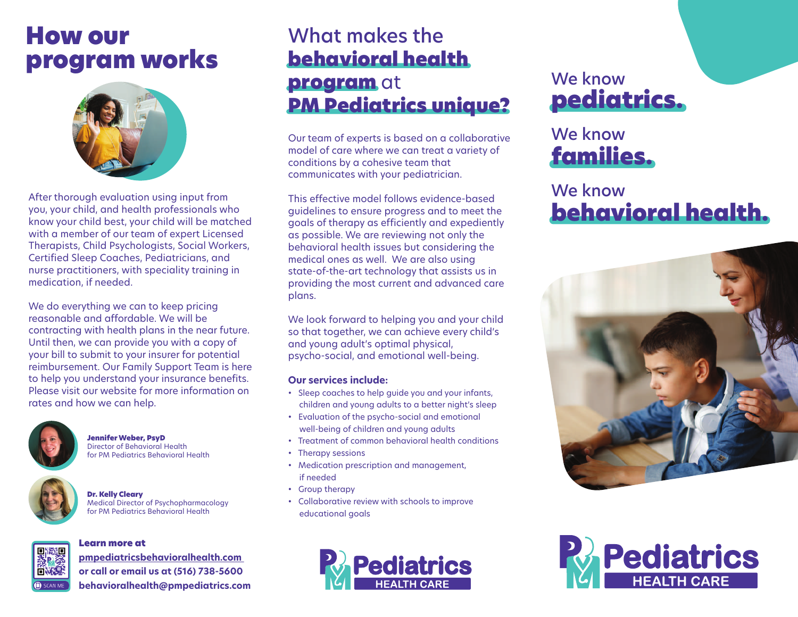### How our program works



After thorough evaluation using input from you, your child, and health professionals who know your child best, your child will be matched with a member of our team of expert Licensed Therapists, Child Psychologists, Social Workers, Certified Sleep Coaches, Pediatricians, and nurse practitioners, with speciality training in medication, if needed.

We do everything we can to keep pricing reasonable and affordable. We will be contracting with health plans in the near future. Until then, we can provide you with a copy of your bill to submit to your insurer for potential reimbursement. Our Family Support Team is here to help you understand your insurance benefits. Please visit our website for more information on rates and how we can help.



JenniferWeber, PsyD Director of Behavioral Health for PM Pediatrics Behavioral Health



Dr. Kelly Cleary Medical Director of Psychopharmacology for PM Pediatrics Behavioral Health

#### Learn more at



**pmpediatricsbehavioralhealth.com or call or email us at (516) 738-5600 behavioralhealth@pmpediatrics.com** 

#### What makes the behavioral health program at PM Pediatrics unique?

Our team of experts is based on a collaborative model of care where we can treat a variety of conditions by a cohesive team that communicates with your pediatrician.

This effective model follows evidence-based guidelines to ensure progress and to meet the goals of therapy as efficiently and expediently as possible. We are reviewing not only the behavioral health issues but considering the medical ones as well. We are also using state-of-the-art technology that assists us in providing the most current and advanced care plans.

We look forward to helping you and your child so that together, we can achieve every child's and young adult's optimal physical, psycho-social, and emotional well-being.

#### **Our services include:**

- Sleep coaches to help guide you and your infants, children and young adults to a better night's sleep
- Evaluation of the psycho-social and emotional well-being of children and young adults
- Treatment of common behavioral health conditions
- Therapy sessions
- Medication prescription and management, if needed
- Group therapy
- Collaborative review with schools to improve educational goals



#### We know pediatrics.

#### We know families.

#### We know behavioral health.